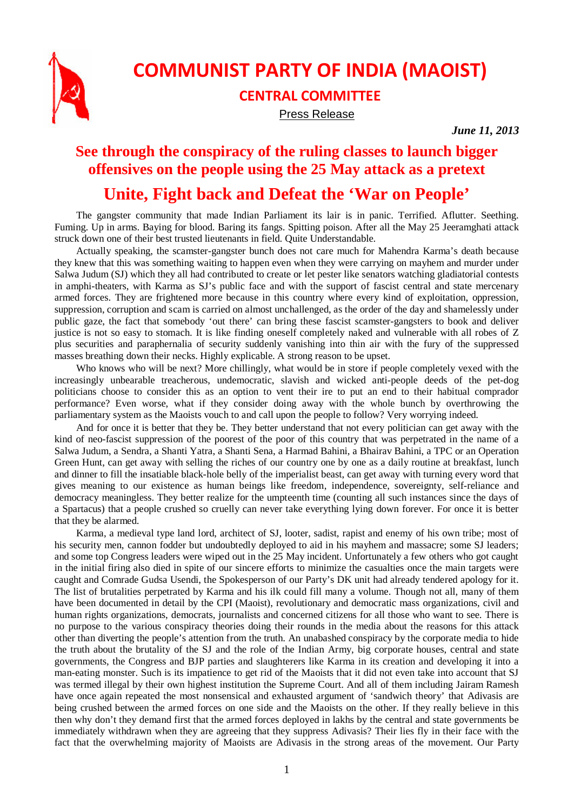

## **COMMUNIST PARTY OF INDIA (MAOIST)**

## **CENTRAL COMMITTEE**

Press Release

*June 11, 2013*

## **See through the conspiracy of the ruling classes to launch bigger offensives on the people using the 25 May attack as a pretext**

## **Unite, Fight back and Defeat the 'War on People'**

The gangster community that made Indian Parliament its lair is in panic. Terrified. Aflutter. Seething. Fuming. Up in arms. Baying for blood. Baring its fangs. Spitting poison. After all the May 25 Jeeramghati attack struck down one of their best trusted lieutenants in field. Quite Understandable.

Actually speaking, the scamster-gangster bunch does not care much for Mahendra Karma's death because they knew that this was something waiting to happen even when they were carrying on mayhem and murder under Salwa Judum (SJ) which they all had contributed to create or let pester like senators watching gladiatorial contests in amphi-theaters, with Karma as SJ's public face and with the support of fascist central and state mercenary armed forces. They are frightened more because in this country where every kind of exploitation, oppression, suppression, corruption and scam is carried on almost unchallenged, as the order of the day and shamelessly under public gaze, the fact that somebody 'out there' can bring these fascist scamster-gangsters to book and deliver justice is not so easy to stomach. It is like finding oneself completely naked and vulnerable with all robes of Z plus securities and paraphernalia of security suddenly vanishing into thin air with the fury of the suppressed masses breathing down their necks. Highly explicable. A strong reason to be upset.

Who knows who will be next? More chillingly, what would be in store if people completely vexed with the increasingly unbearable treacherous, undemocratic, slavish and wicked anti-people deeds of the pet-dog politicians choose to consider this as an option to vent their ire to put an end to their habitual comprador performance? Even worse, what if they consider doing away with the whole bunch by overthrowing the parliamentary system as the Maoists vouch to and call upon the people to follow? Very worrying indeed.

And for once it is better that they be. They better understand that not every politician can get away with the kind of neo-fascist suppression of the poorest of the poor of this country that was perpetrated in the name of a Salwa Judum, a Sendra, a Shanti Yatra, a Shanti Sena, a Harmad Bahini, a Bhairav Bahini, a TPC or an Operation Green Hunt, can get away with selling the riches of our country one by one as a daily routine at breakfast, lunch and dinner to fill the insatiable black-hole belly of the imperialist beast, can get away with turning every word that gives meaning to our existence as human beings like freedom, independence, sovereignty, self-reliance and democracy meaningless. They better realize for the umpteenth time (counting all such instances since the days of a Spartacus) that a people crushed so cruelly can never take everything lying down forever. For once it is better that they be alarmed.

Karma, a medieval type land lord, architect of SJ, looter, sadist, rapist and enemy of his own tribe; most of his security men, cannon fodder but undoubtedly deployed to aid in his mayhem and massacre; some SJ leaders; and some top Congress leaders were wiped out in the 25 May incident. Unfortunately a few others who got caught in the initial firing also died in spite of our sincere efforts to minimize the casualties once the main targets were caught and Comrade Gudsa Usendi, the Spokesperson of our Party's DK unit had already tendered apology for it. The list of brutalities perpetrated by Karma and his ilk could fill many a volume. Though not all, many of them have been documented in detail by the CPI (Maoist), revolutionary and democratic mass organizations, civil and human rights organizations, democrats, journalists and concerned citizens for all those who want to see. There is no purpose to the various conspiracy theories doing their rounds in the media about the reasons for this attack other than diverting the people's attention from the truth. An unabashed conspiracy by the corporate media to hide the truth about the brutality of the SJ and the role of the Indian Army, big corporate houses, central and state governments, the Congress and BJP parties and slaughterers like Karma in its creation and developing it into a man-eating monster. Such is its impatience to get rid of the Maoists that it did not even take into account that SJ was termed illegal by their own highest institution the Supreme Court. And all of them including Jairam Ramesh have once again repeated the most nonsensical and exhausted argument of 'sandwich theory' that Adivasis are being crushed between the armed forces on one side and the Maoists on the other. If they really believe in this then why don't they demand first that the armed forces deployed in lakhs by the central and state governments be immediately withdrawn when they are agreeing that they suppress Adivasis? Their lies fly in their face with the fact that the overwhelming majority of Maoists are Adivasis in the strong areas of the movement. Our Party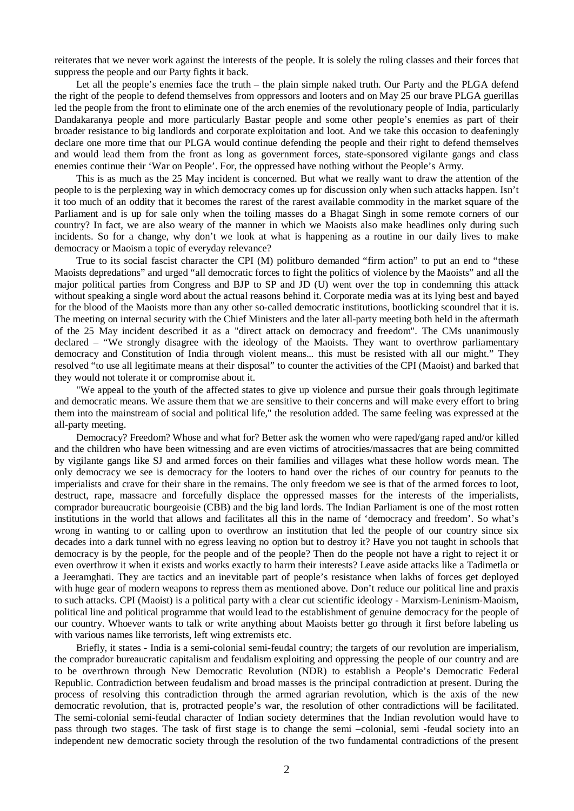reiterates that we never work against the interests of the people. It is solely the ruling classes and their forces that suppress the people and our Party fights it back.

Let all the people's enemies face the truth – the plain simple naked truth. Our Party and the PLGA defend the right of the people to defend themselves from oppressors and looters and on May 25 our brave PLGA guerillas led the people from the front to eliminate one of the arch enemies of the revolutionary people of India, particularly Dandakaranya people and more particularly Bastar people and some other people's enemies as part of their broader resistance to big landlords and corporate exploitation and loot. And we take this occasion to deafeningly declare one more time that our PLGA would continue defending the people and their right to defend themselves and would lead them from the front as long as government forces, state-sponsored vigilante gangs and class enemies continue their 'War on People'. For, the oppressed have nothing without the People's Army.

This is as much as the 25 May incident is concerned. But what we really want to draw the attention of the people to is the perplexing way in which democracy comes up for discussion only when such attacks happen. Isn't it too much of an oddity that it becomes the rarest of the rarest available commodity in the market square of the Parliament and is up for sale only when the toiling masses do a Bhagat Singh in some remote corners of our country? In fact, we are also weary of the manner in which we Maoists also make headlines only during such incidents. So for a change, why don't we look at what is happening as a routine in our daily lives to make democracy or Maoism a topic of everyday relevance?

True to its social fascist character the CPI (M) politburo demanded "firm action" to put an end to "these Maoists depredations" and urged "all democratic forces to fight the politics of violence by the Maoists" and all the major political parties from Congress and BJP to SP and JD (U) went over the top in condemning this attack without speaking a single word about the actual reasons behind it. Corporate media was at its lying best and bayed for the blood of the Maoists more than any other so-called democratic institutions, bootlicking scoundrel that it is. The meeting on internal security with the Chief Ministers and the later all-party meeting both held in the aftermath of the 25 May incident described it as a "direct attack on democracy and freedom". The CMs unanimously declared – "We strongly disagree with the ideology of the Maoists. They want to overthrow parliamentary democracy and Constitution of India through violent means... this must be resisted with all our might." They resolved "to use all legitimate means at their disposal" to counter the activities of the CPI (Maoist) and barked that they would not tolerate it or compromise about it.

"We appeal to the youth of the affected states to give up violence and pursue their goals through legitimate and democratic means. We assure them that we are sensitive to their concerns and will make every effort to bring them into the mainstream of social and political life," the resolution added. The same feeling was expressed at the all-party meeting.

Democracy? Freedom? Whose and what for? Better ask the women who were raped/gang raped and/or killed and the children who have been witnessing and are even victims of atrocities/massacres that are being committed by vigilante gangs like SJ and armed forces on their families and villages what these hollow words mean. The only democracy we see is democracy for the looters to hand over the riches of our country for peanuts to the imperialists and crave for their share in the remains. The only freedom we see is that of the armed forces to loot, destruct, rape, massacre and forcefully displace the oppressed masses for the interests of the imperialists, comprador bureaucratic bourgeoisie (CBB) and the big land lords. The Indian Parliament is one of the most rotten institutions in the world that allows and facilitates all this in the name of 'democracy and freedom'. So what's wrong in wanting to or calling upon to overthrow an institution that led the people of our country since six decades into a dark tunnel with no egress leaving no option but to destroy it? Have you not taught in schools that democracy is by the people, for the people and of the people? Then do the people not have a right to reject it or even overthrow it when it exists and works exactly to harm their interests? Leave aside attacks like a Tadimetla or a Jeeramghati. They are tactics and an inevitable part of people's resistance when lakhs of forces get deployed with huge gear of modern weapons to repress them as mentioned above. Don't reduce our political line and praxis to such attacks. CPI (Maoist) is a political party with a clear cut scientific ideology - Marxism-Leninism-Maoism, political line and political programme that would lead to the establishment of genuine democracy for the people of our country. Whoever wants to talk or write anything about Maoists better go through it first before labeling us with various names like terrorists, left wing extremists etc.

Briefly, it states - India is a semi-colonial semi-feudal country; the targets of our revolution are imperialism, the comprador bureaucratic capitalism and feudalism exploiting and oppressing the people of our country and are to be overthrown through New Democratic Revolution (NDR) to establish a People's Democratic Federal Republic. Contradiction between feudalism and broad masses is the principal contradiction at present. During the process of resolving this contradiction through the armed agrarian revolution, which is the axis of the new democratic revolution, that is, protracted people's war, the resolution of other contradictions will be facilitated. The semi-colonial semi-feudal character of Indian society determines that the Indian revolution would have to pass through two stages. The task of first stage is to change the semi –colonial, semi -feudal society into an independent new democratic society through the resolution of the two fundamental contradictions of the present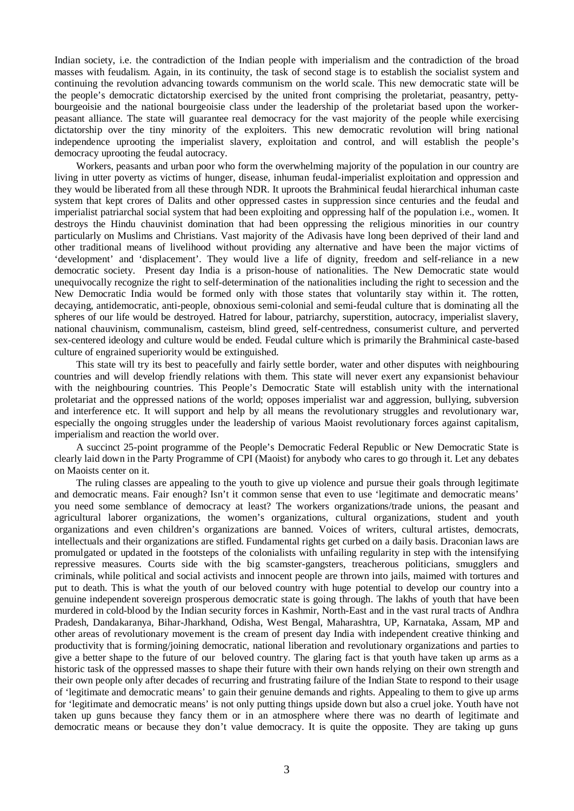Indian society, i.e. the contradiction of the Indian people with imperialism and the contradiction of the broad masses with feudalism. Again, in its continuity, the task of second stage is to establish the socialist system and continuing the revolution advancing towards communism on the world scale. This new democratic state will be the people's democratic dictatorship exercised by the united front comprising the proletariat, peasantry, pettybourgeoisie and the national bourgeoisie class under the leadership of the proletariat based upon the workerpeasant alliance. The state will guarantee real democracy for the vast majority of the people while exercising dictatorship over the tiny minority of the exploiters. This new democratic revolution will bring national independence uprooting the imperialist slavery, exploitation and control, and will establish the people's democracy uprooting the feudal autocracy.

Workers, peasants and urban poor who form the overwhelming majority of the population in our country are living in utter poverty as victims of hunger, disease, inhuman feudal-imperialist exploitation and oppression and they would be liberated from all these through NDR. It uproots the Brahminical feudal hierarchical inhuman caste system that kept crores of Dalits and other oppressed castes in suppression since centuries and the feudal and imperialist patriarchal social system that had been exploiting and oppressing half of the population i.e., women. It destroys the Hindu chauvinist domination that had been oppressing the religious minorities in our country particularly on Muslims and Christians. Vast majority of the Adivasis have long been deprived of their land and other traditional means of livelihood without providing any alternative and have been the major victims of 'development' and 'displacement'. They would live a life of dignity, freedom and self-reliance in a new democratic society. Present day India is a prison-house of nationalities. The New Democratic state would unequivocally recognize the right to self-determination of the nationalities including the right to secession and the New Democratic India would be formed only with those states that voluntarily stay within it. The rotten, decaying, antidemocratic, anti-people, obnoxious semi-colonial and semi-feudal culture that is dominating all the spheres of our life would be destroyed. Hatred for labour, patriarchy, superstition, autocracy, imperialist slavery, national chauvinism, communalism, casteism, blind greed, self-centredness, consumerist culture, and perverted sex-centered ideology and culture would be ended. Feudal culture which is primarily the Brahminical caste-based culture of engrained superiority would be extinguished.

This state will try its best to peacefully and fairly settle border, water and other disputes with neighbouring countries and will develop friendly relations with them. This state will never exert any expansionist behaviour with the neighbouring countries. This People's Democratic State will establish unity with the international proletariat and the oppressed nations of the world; opposes imperialist war and aggression, bullying, subversion and interference etc. It will support and help by all means the revolutionary struggles and revolutionary war, especially the ongoing struggles under the leadership of various Maoist revolutionary forces against capitalism, imperialism and reaction the world over.

A succinct 25-point programme of the People's Democratic Federal Republic or New Democratic State is clearly laid down in the Party Programme of CPI (Maoist) for anybody who cares to go through it. Let any debates on Maoists center on it.

The ruling classes are appealing to the youth to give up violence and pursue their goals through legitimate and democratic means. Fair enough? Isn't it common sense that even to use 'legitimate and democratic means' you need some semblance of democracy at least? The workers organizations/trade unions, the peasant and agricultural laborer organizations, the women's organizations, cultural organizations, student and youth organizations and even children's organizations are banned. Voices of writers, cultural artistes, democrats, intellectuals and their organizations are stifled. Fundamental rights get curbed on a daily basis. Draconian laws are promulgated or updated in the footsteps of the colonialists with unfailing regularity in step with the intensifying repressive measures. Courts side with the big scamster-gangsters, treacherous politicians, smugglers and criminals, while political and social activists and innocent people are thrown into jails, maimed with tortures and put to death. This is what the youth of our beloved country with huge potential to develop our country into a genuine independent sovereign prosperous democratic state is going through. The lakhs of youth that have been murdered in cold-blood by the Indian security forces in Kashmir, North-East and in the vast rural tracts of Andhra Pradesh, Dandakaranya, Bihar-Jharkhand, Odisha, West Bengal, Maharashtra, UP, Karnataka, Assam, MP and other areas of revolutionary movement is the cream of present day India with independent creative thinking and productivity that is forming/joining democratic, national liberation and revolutionary organizations and parties to give a better shape to the future of our beloved country. The glaring fact is that youth have taken up arms as a historic task of the oppressed masses to shape their future with their own hands relying on their own strength and their own people only after decades of recurring and frustrating failure of the Indian State to respond to their usage of 'legitimate and democratic means' to gain their genuine demands and rights. Appealing to them to give up arms for 'legitimate and democratic means' is not only putting things upside down but also a cruel joke. Youth have not taken up guns because they fancy them or in an atmosphere where there was no dearth of legitimate and democratic means or because they don't value democracy. It is quite the opposite. They are taking up guns